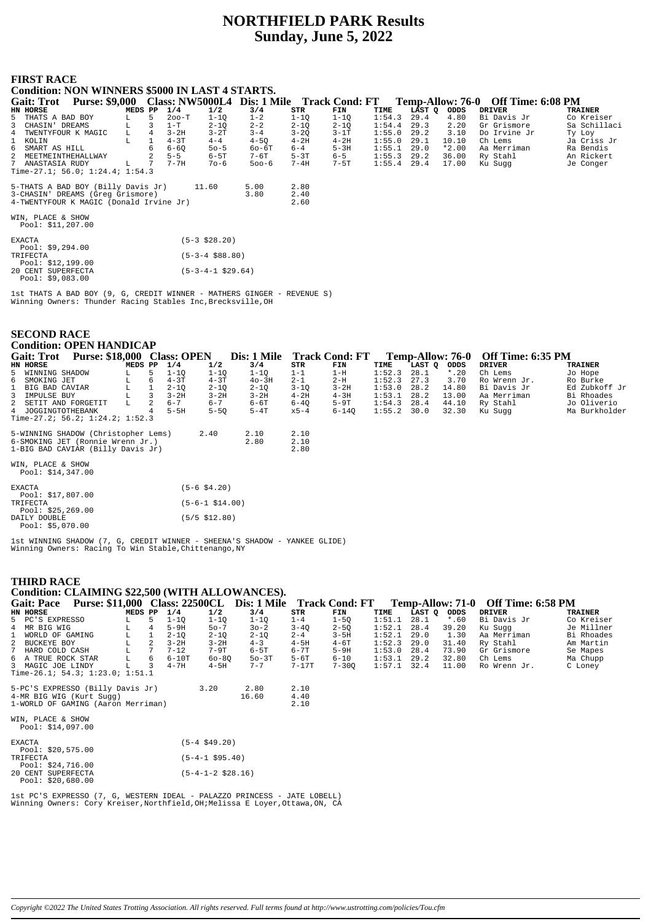# **NORTHFIELD PARK Results Sunday, June 5, 2022**

## **FIRST RACE**

| <b>Condition: NON WINNERS \$5000 IN LAST 4 STARTS.</b>                         |         |                 |          |                    |           |          |          |        |        |         |                                    |                |
|--------------------------------------------------------------------------------|---------|-----------------|----------|--------------------|-----------|----------|----------|--------|--------|---------|------------------------------------|----------------|
| Purse: \$9,000 Class: NW5000L4 Dis: 1 Mile Track Cond: FT<br><b>Gait: Trot</b> |         |                 |          |                    |           |          |          |        |        |         | Temp-Allow: 76-0 Off Time: 6:08 PM |                |
| HN HORSE                                                                       | MEDS PP |                 | 1/4      | 1/2                | 3/4       | STR      | FIN      | TIME   | LAST O | ODDS    | <b>DRIVER</b>                      | <b>TRAINER</b> |
| 5 THATS A BAD BOY                                                              | L.      | 5               | $200-T$  | $1 - 1Q$           | $1 - 2$   | $1 - 1Q$ | $1-1Q$   | 1:54.3 | 29.4   | 4.80    | Bi Davis Jr                        | Co Kreiser     |
| 3 CHASIN' DREAMS                                                               | L.      |                 | $1-T$    | $2 - 1Q$           | $2 - 2$   | $2 - 1Q$ | $2 - 1Q$ | 1:54.4 | 29.3   | 2.20    | Gr Grismore                        | Sa Schillaci   |
| 4 TWENTYFOUR K MAGIC                                                           | L.      | $\overline{4}$  | $3 - 2H$ | $3-2T$             | $3 - 4$   | $3 - 2Q$ | $3-1T$   | 1:55.0 | 29.2   | 3.10    | Do Irvine Jr                       | Ty Loy         |
| 1 KOLIN                                                                        | г       |                 | $4 - 3T$ | $4 - 4$            | $4-5Q$    | $4-2H$   | $4-2H$   | 1:55.0 | 29.1   | 10.10   | Ch Lems                            | Ja Criss Jr    |
| 6 SMART AS HILL                                                                |         |                 | $6 - 60$ | $50 - 5$           | 60-6T     | $6 - 4$  | $5-3H$   | 1:55.1 | 29.0   | $*2.00$ | Aa Merriman                        | Ra Bendis      |
| 2 MEETMEINTHEHALLWAY                                                           |         |                 | $5 - 5$  | 6-5T               | 7-6T      | $5-3T$   | $6 - 5$  | 1:55.3 | 29.2   | 36.00   | Ry Stahl                           | An Rickert     |
| 7 ANASTASIA RUDY                                                               | L       | $7\overline{ }$ | $7 - 7H$ | 70-6               | $500 - 6$ | 7-4H     | 7-5T     | 1:55.4 | 29.4   | 17.00   | Ku Sugg                            | Je Conger      |
| Time-27.1; 56.0; 1:24.4; 1:54.3                                                |         |                 |          |                    |           |          |          |        |        |         |                                    |                |
| 5-THATS A BAD BOY (Billy Davis Jr)                                             |         |                 |          | 11.60              | 5.00      | 2.80     |          |        |        |         |                                    |                |
| 3-CHASIN' DREAMS (Greq Grismore)                                               |         |                 |          |                    | 3.80      | 2.40     |          |        |        |         |                                    |                |
| 4-TWENTYFOUR K MAGIC (Donald Irvine Jr)                                        |         |                 |          |                    |           | 2.60     |          |        |        |         |                                    |                |
|                                                                                |         |                 |          |                    |           |          |          |        |        |         |                                    |                |
| WIN, PLACE & SHOW<br>Pool: $$11,207.00$                                        |         |                 |          |                    |           |          |          |        |        |         |                                    |                |
| <b>EXACTA</b><br>Pool: $$9,294.00$                                             |         |                 |          | $(5-3 \; $28.20)$  |           |          |          |        |        |         |                                    |                |
| TRIFECTA                                                                       |         |                 |          | $(5-3-4 \ $88.80)$ |           |          |          |        |        |         |                                    |                |

Pool: \$12,199.00<br>20 CENT SUPERFECTA<br>Pool: \$9,083.00  $(5-3-4-1$ \$29.64)

lst THATS A BAD BOY (9, G, CREDIT WINNER - MATHERS GINGER - REVENUE S)<br>Winning Owners: Thunder Racing Stables Inc, Brecksville, OH

| <b>Condition: OPEN HANDICAP</b><br>Purse: \$18,000 Class: OPEN<br>Dis: 1 Mile<br><b>Track Cond: FT</b><br><b>Off Time: 6:35 PM</b><br><b>Gait: Trot</b><br><b>Temp-Allow: 76-0</b><br>1/4<br>3/4<br>HN HORSE<br>MEDS PP<br>1/2<br>STR<br>TIME<br>LAST Q<br><b>DRIVER</b><br><b>TRAINER</b><br>FIN<br>ODDS<br>28.1<br>$1-1Q$<br>1:52.3<br>$*$ .20<br>5 WINNING SHADOW<br>5<br>$1 - 1Q$<br>$1 - 1Q$<br>$1 - 1$<br>$1-H$<br>Ch Lems<br>Jo Hope<br>$4 - 3T$<br>$4-3T$<br>$2 - 1$<br>$2-H$<br>1:52.3<br>27.3<br>6 SMOKING JET<br>$40-3H$<br>3.70<br>Ro Burke<br>6<br>Ro Wrenn Jr.<br>г<br>$2 - 1Q$<br>$2 - 1Q$<br>$3 - 1Q$<br>$3 - 2H$<br>1:53.0<br>28.2<br>14.80<br>Ed Zubkoff Jr<br>$2 - 10$<br>Bi Davis Jr<br>BIG BAD CAVIAR<br>г<br>$3-2H$<br>$3-2H$<br>1:53.1<br>28.2<br>13.00<br>Bi Rhoades<br>IMPULSE BUY<br>$3-2H$<br>$4 - 2H$<br>$4-3H$<br>3<br>Aa Merriman<br>$6 - 7$<br>$6 - 7$<br>44.10<br>L<br>$6-6T$<br>$6-4Q$<br>$5-9T$<br>1:54.3<br>28.4<br>Ry Stahl<br>Jo Oliverio<br>2<br>SETIT AND FORGETIT |  |  |  |  |  |  |  |  |  |  |  |  |  |
|-----------------------------------------------------------------------------------------------------------------------------------------------------------------------------------------------------------------------------------------------------------------------------------------------------------------------------------------------------------------------------------------------------------------------------------------------------------------------------------------------------------------------------------------------------------------------------------------------------------------------------------------------------------------------------------------------------------------------------------------------------------------------------------------------------------------------------------------------------------------------------------------------------------------------------------------------------------------------------------------------------------|--|--|--|--|--|--|--|--|--|--|--|--|--|
|                                                                                                                                                                                                                                                                                                                                                                                                                                                                                                                                                                                                                                                                                                                                                                                                                                                                                                                                                                                                           |  |  |  |  |  |  |  |  |  |  |  |  |  |
|                                                                                                                                                                                                                                                                                                                                                                                                                                                                                                                                                                                                                                                                                                                                                                                                                                                                                                                                                                                                           |  |  |  |  |  |  |  |  |  |  |  |  |  |
|                                                                                                                                                                                                                                                                                                                                                                                                                                                                                                                                                                                                                                                                                                                                                                                                                                                                                                                                                                                                           |  |  |  |  |  |  |  |  |  |  |  |  |  |
|                                                                                                                                                                                                                                                                                                                                                                                                                                                                                                                                                                                                                                                                                                                                                                                                                                                                                                                                                                                                           |  |  |  |  |  |  |  |  |  |  |  |  |  |
|                                                                                                                                                                                                                                                                                                                                                                                                                                                                                                                                                                                                                                                                                                                                                                                                                                                                                                                                                                                                           |  |  |  |  |  |  |  |  |  |  |  |  |  |
|                                                                                                                                                                                                                                                                                                                                                                                                                                                                                                                                                                                                                                                                                                                                                                                                                                                                                                                                                                                                           |  |  |  |  |  |  |  |  |  |  |  |  |  |
|                                                                                                                                                                                                                                                                                                                                                                                                                                                                                                                                                                                                                                                                                                                                                                                                                                                                                                                                                                                                           |  |  |  |  |  |  |  |  |  |  |  |  |  |
|                                                                                                                                                                                                                                                                                                                                                                                                                                                                                                                                                                                                                                                                                                                                                                                                                                                                                                                                                                                                           |  |  |  |  |  |  |  |  |  |  |  |  |  |
| 4 JOGGINGTOTHEBANK<br>$5-5H$<br>1:55.2<br>Ma Burkholder<br>$5 - 50$<br>$5-4T$<br>$6 - 140$<br>30.0<br>32.30<br>$x5-4$<br>Ku Sugg                                                                                                                                                                                                                                                                                                                                                                                                                                                                                                                                                                                                                                                                                                                                                                                                                                                                          |  |  |  |  |  |  |  |  |  |  |  |  |  |
| Time-27.2; $56.2; 1:24.2; 1:52.3$                                                                                                                                                                                                                                                                                                                                                                                                                                                                                                                                                                                                                                                                                                                                                                                                                                                                                                                                                                         |  |  |  |  |  |  |  |  |  |  |  |  |  |
| 5-WINNING SHADOW (Christopher Lems)<br>2.10<br>2.40<br>2.10                                                                                                                                                                                                                                                                                                                                                                                                                                                                                                                                                                                                                                                                                                                                                                                                                                                                                                                                               |  |  |  |  |  |  |  |  |  |  |  |  |  |
| 6-SMOKING JET (Ronnie Wrenn Jr.)<br>2.80<br>2.10                                                                                                                                                                                                                                                                                                                                                                                                                                                                                                                                                                                                                                                                                                                                                                                                                                                                                                                                                          |  |  |  |  |  |  |  |  |  |  |  |  |  |
| 1-BIG BAD CAVIAR (Billy Davis Jr)<br>2.80                                                                                                                                                                                                                                                                                                                                                                                                                                                                                                                                                                                                                                                                                                                                                                                                                                                                                                                                                                 |  |  |  |  |  |  |  |  |  |  |  |  |  |
| WIN, PLACE & SHOW                                                                                                                                                                                                                                                                                                                                                                                                                                                                                                                                                                                                                                                                                                                                                                                                                                                                                                                                                                                         |  |  |  |  |  |  |  |  |  |  |  |  |  |
| Pool: $$14,347.00$                                                                                                                                                                                                                                                                                                                                                                                                                                                                                                                                                                                                                                                                                                                                                                                                                                                                                                                                                                                        |  |  |  |  |  |  |  |  |  |  |  |  |  |
|                                                                                                                                                                                                                                                                                                                                                                                                                                                                                                                                                                                                                                                                                                                                                                                                                                                                                                                                                                                                           |  |  |  |  |  |  |  |  |  |  |  |  |  |
| $(5-6$ \$4.20)<br><b>EXACTA</b>                                                                                                                                                                                                                                                                                                                                                                                                                                                                                                                                                                                                                                                                                                                                                                                                                                                                                                                                                                           |  |  |  |  |  |  |  |  |  |  |  |  |  |
| Pool: \$17,807.00                                                                                                                                                                                                                                                                                                                                                                                                                                                                                                                                                                                                                                                                                                                                                                                                                                                                                                                                                                                         |  |  |  |  |  |  |  |  |  |  |  |  |  |
| $(5-6-1$ \$14.00)<br>TRIFECTA                                                                                                                                                                                                                                                                                                                                                                                                                                                                                                                                                                                                                                                                                                                                                                                                                                                                                                                                                                             |  |  |  |  |  |  |  |  |  |  |  |  |  |
| Pool: $$25, 269.00$                                                                                                                                                                                                                                                                                                                                                                                                                                                                                                                                                                                                                                                                                                                                                                                                                                                                                                                                                                                       |  |  |  |  |  |  |  |  |  |  |  |  |  |
| $(5/5 \; $12.80)$<br>DAILY DOUBLE<br>Pool: $$5,070.00$                                                                                                                                                                                                                                                                                                                                                                                                                                                                                                                                                                                                                                                                                                                                                                                                                                                                                                                                                    |  |  |  |  |  |  |  |  |  |  |  |  |  |

1st WINNING SHADOW (7, G, CREDIT WINNER - SHEENA'S SHADOW - YANKEE GLIDE)<br>Winning Owners: Racing To Win Stable, Chittenango, NY

# THIRD RACE

| Condition: CLAIMING \$22,500 (WITH ALLOWANCES).                                                         |                 |          |                      |          |          |           |        |        |         |               |                |
|---------------------------------------------------------------------------------------------------------|-----------------|----------|----------------------|----------|----------|-----------|--------|--------|---------|---------------|----------------|
| Gait: Pace Purse: \$11,000 Class: 22500CL Dis: 1 Mile Track Cond: FT Temp-Allow: 71-0 Off Time: 6:58 PM |                 |          |                      |          |          |           |        |        |         |               |                |
| HN HORSE                                                                                                | MEDS PP         | 1/4      | 1/2                  | 3/4      | STR      | FIN       | TIME   | LAST Q | ODDS    | <b>DRIVER</b> | <b>TRAINER</b> |
| 5 PC'S EXPRESSO<br>L                                                                                    | 5               | $1 - 10$ | $1 - 10$             | $1 - 1Q$ | $1 - 4$  | $1 - 50$  | 1:51.1 | 28.1   | $*$ .60 | Bi Davis Jr   | Co Kreiser     |
| 4 MR BIG WIG<br>г                                                                                       | 4               | $5-9H$   | $50 - 7$             | $30 - 2$ | $3 - 40$ | $2 - 5Q$  | 1:52.1 | 28.4   | 39.20   | Ku Sugg       | Je Millner     |
| $\mathbf{1}$<br>WORLD OF GAMING<br>L                                                                    |                 | $2 - 1Q$ | $2 - 1Q$             | $2 - 1Q$ | $2 - 4$  | $3-5H$    | 1:52.1 | 29.0   | 1.30    | Aa Merriman   | Bi Rhoades     |
| 2 BUCKEYE BOY<br>г                                                                                      | 2               | $3 - 2H$ | $3 - 2H$             | $4 - 3$  | $4-5H$   | $4-6T$    | 1:52.3 | 29.0   | 31.40   | Ry Stahl      | Am Martin      |
| HARD COLD CASH                                                                                          | $7\phantom{.0}$ | $7 - 12$ | 7-9T                 | $6-5T$   | $6 - 7T$ | $5-9H$    | 1:53.0 | 28.4   | 73.90   | Gr Grismore   | Se Mapes       |
| L<br>6 A TRUE ROCK STAR                                                                                 | 6               | $6-10T$  | $60 - 80$            | $50-3T$  | $5-6T$   | $6 - 10$  | 1:53.1 | 29.2   | 32.80   | Ch Lems       | Ma Chupp       |
| L<br>3 MAGIC JOE LINDY                                                                                  | 3               | $4 - 7H$ | $4-5H$               | $7 - 7$  | $7-17$ T | $7 - 300$ | 1:57.1 | 32.4   | 11.00   | Ro Wrenn Jr.  | C Loney        |
| Time-26.1; 54.3; 1:23.0; 1:51.1                                                                         |                 |          |                      |          |          |           |        |        |         |               |                |
|                                                                                                         |                 |          |                      |          |          |           |        |        |         |               |                |
| 5-PC'S EXPRESSO (Billy Davis Jr)                                                                        |                 |          | 3.20                 | 2.80     | 2.10     |           |        |        |         |               |                |
| 4-MR BIG WIG (Kurt Sugg)                                                                                |                 |          |                      | 16.60    | 4.40     |           |        |        |         |               |                |
| 1-WORLD OF GAMING (Aaron Merriman)                                                                      |                 |          |                      |          | 2.10     |           |        |        |         |               |                |
|                                                                                                         |                 |          |                      |          |          |           |        |        |         |               |                |
| WIN, PLACE & SHOW                                                                                       |                 |          |                      |          |          |           |        |        |         |               |                |
| Pool: $$14,097.00$                                                                                      |                 |          |                      |          |          |           |        |        |         |               |                |
|                                                                                                         |                 |          |                      |          |          |           |        |        |         |               |                |
| EXACTA                                                                                                  |                 |          | $(5 - 4, 549.20)$    |          |          |           |        |        |         |               |                |
| Pool: $$20,575.00$                                                                                      |                 |          |                      |          |          |           |        |        |         |               |                |
| TRIFECTA                                                                                                |                 |          | $(5-4-1 \; $95.40)$  |          |          |           |        |        |         |               |                |
| Pool: $$24,716.00$                                                                                      |                 |          |                      |          |          |           |        |        |         |               |                |
| 20 CENT SUPERFECTA                                                                                      |                 |          | $(5-4-1-2 \ $28.16)$ |          |          |           |        |        |         |               |                |
| Pool: $$20,680.00$                                                                                      |                 |          |                      |          |          |           |        |        |         |               |                |

lst PC'S EXPRESSO (7, G, WESTERN IDEAL - PALAZZO PRINCESS - JATE LOBELL)<br>Winning Owners: Cory Kreiser, Northfield, OH; Melissa E Loyer, Ottawa, ON, CA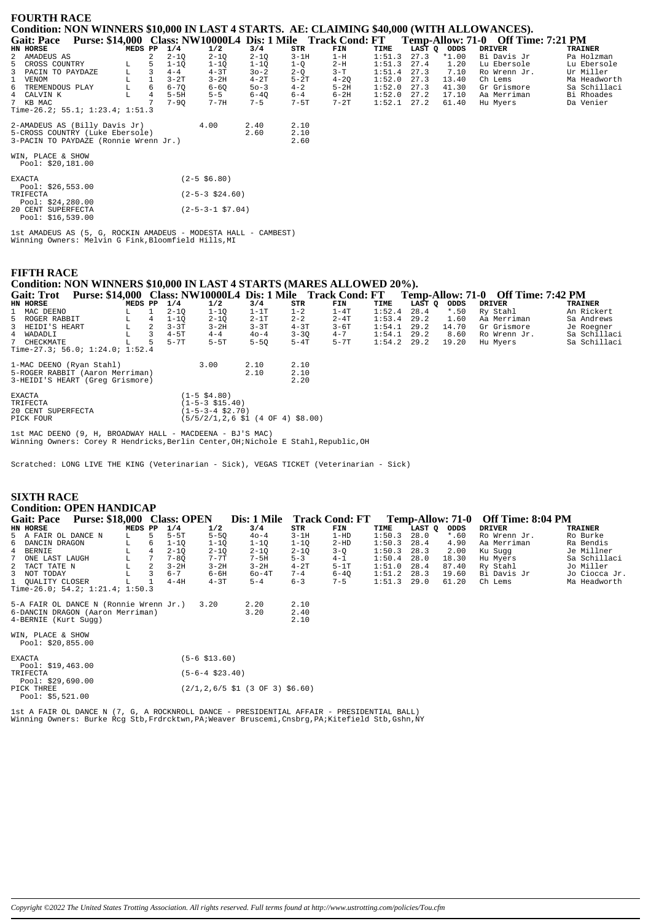| <b>FOURTH RACE</b>                                                                                        |         |   |          |                            |          |          |          |        |      |             |              |              |
|-----------------------------------------------------------------------------------------------------------|---------|---|----------|----------------------------|----------|----------|----------|--------|------|-------------|--------------|--------------|
| Condition: NON WINNERS \$10,000 IN LAST 4 STARTS. AE: CLAIMING \$40,000 (WITH ALLOWANCES).                |         |   |          |                            |          |          |          |        |      |             |              |              |
| Gait: Pace Purse: \$14,000 Class: NW10000L4 Dis: 1 Mile Track Cond: FT Temp-Allow: 71-0 Off Time: 7:21 PM |         |   |          |                            |          |          |          |        |      |             |              |              |
| HN HORSE                                                                                                  | MEDS PP |   | 1/4      | 1/2                        | 3/4      | STR      | FIN      | TIME   |      | LAST Q ODDS | DRIVER       | TRAINER      |
| 2 AMADEUS AS                                                                                              |         | 2 | $2 - 1Q$ | $2 - 1Q$                   | $2 - 1Q$ | $3-1H$   | $1-H$    | 1:51.3 | 27.3 | *1.00       | Bi Davis Jr  | Pa Holzman   |
| 5 CROSS COUNTRY                                                                                           | L       | 5 | $1 - 10$ | $1 - 10$                   | $1-1Q$   | $1 - Q$  | $2-H$    | 1:51.3 | 27.4 | 1.20        | Lu Ebersole  | Lu Ebersole  |
| 3 PACIN TO PAYDAZE                                                                                        | L       | 3 | $4 - 4$  | $4-3T$                     | $30 - 2$ | $2-Q$    | $3-T$    | 1:51.4 | 27.3 | 7.10        | Ro Wrenn Jr. | Ur Miller    |
| 1 VENOM                                                                                                   |         |   | $3-2T$   | $3-2H$                     | $4-2T$   | $5-2T$   | $4 - 2Q$ | 1:52.0 | 27.3 | 13.40       | Ch Lems      | Ma Headworth |
| 6 TREMENDOUS PLAY                                                                                         | L       | 6 | $6 - 70$ | $6 - 60$                   | $50 - 3$ | $4 - 2$  | $5-2H$   | 1:52.0 | 27.3 | 41.30       | Gr Grismore  | Sa Schillaci |
| 4 CALVIN K                                                                                                |         | 4 | $5-5H$   | $5 - 5$                    | $6 - 40$ | $6 - 4$  | 6-2H     | 1:52.0 | 27.2 | 17.10       | Aa Merriman  | Bi Rhoades   |
| 7 KB MAC                                                                                                  |         |   | $7 - 90$ | $7 - 7H$                   | $7 - 5$  | $7 - 5T$ | $7-2T$   | 1:52.1 | 27.2 | 61.40       | Hu Myers     | Da Venier    |
| Time-26.2; 55.1; 1:23.4; 1:51.3                                                                           |         |   |          |                            |          |          |          |        |      |             |              |              |
| 2-AMADEUS AS (Billy Davis Jr)                                                                             |         |   |          | 4.00                       | 2.40     | 2.10     |          |        |      |             |              |              |
| 5-CROSS COUNTRY (Luke Ebersole)                                                                           |         |   |          |                            | 2.60     | 2.10     |          |        |      |             |              |              |
| 3-PACIN TO PAYDAZE (Ronnie Wrenn Jr.)                                                                     |         |   |          |                            |          | 2.60     |          |        |      |             |              |              |
| WIN, PLACE & SHOW<br>Pool: \$20,181.00                                                                    |         |   |          |                            |          |          |          |        |      |             |              |              |
| <b>EXACTA</b><br>Pool: $$26,553.00$                                                                       |         |   |          | $(2-5$ \$6.80)             |          |          |          |        |      |             |              |              |
| TRIFECTA<br>Pool: $$24,280.00$                                                                            |         |   |          | $(2-5-3 \ $24.60)$         |          |          |          |        |      |             |              |              |
| 20 CENT SUPERFECTA<br>Pool: \$16,539.00                                                                   |         |   |          | $(2-5-3-1 \text{ } $7.04)$ |          |          |          |        |      |             |              |              |

1st AMADEUS AS (5, G, ROCKIN AMADEUS - MODESTA HALL - CAMBEST)<br>Winning Owners: Melvin G Fink,Bloomfield Hills,MI

#### **FIFTH RACE**

## Condition: NON WINNERS \$10,000 IN LAST 4 STARTS (MARES ALLOWED 20%).

Gait: Trot Purse: \$14,000 Class: NW10000L4 Dis: 1 Mile Track Cond: FT Temp-Allow: 71-0 Off Time: 7:42 PM<br>EN EQUEST PER 1/4 1/2 3/4 STR TIME TIME LAST Q ODDS DRIVER TIME TAAT  $3/4$ <br> $1-1T$ <br> $2-1T$ <br> $3-3T$  $\begin{array}{c}\n\textbf{FIN} \\
1-4\textbf{T} \\
2-4\textbf{T} \\
3-6\textbf{T}\n\end{array}$ TRAINER 1 MAC DEENO  $2-1Q$ <br> $1-1Q$ <br> $3-3T$  $1-1Q$ <br> $2-1Q$ <br> $3-2H$  $1-2$ <br> $2-2$ <br> $4-3T$ 1:52.4 28.4<br>1:53.4 29.2<br>1:54.1 29.2 Ry Stahl<br>Aa Merriman  $\begin{array}{c} 1 \\ 4 \\ 2 \end{array}$  $\begin{array}{c} * & 50 \\ 1.60 \end{array}$  $T_{\rm A}$ An Rickert 5 ROGER RABBIT<br>3 HEIDI'S HEART  $\overline{L}$ Sa Andrews 14.70  $T_{\rm H}$ Gr Grismore Je Roeaner NEIDI 5 H.<br>WADADLI<br>CHECKMATE  $4 - 5T$ <br> $5 - 7T$  $4-4$ <br> $5-5$ T  $3 - 3Q$ <br> $5 - 4T$  $4 - 7$ <br> $5 - 7$  $1:54.1$  29.2<br> $1:54.2$  29.2  $8.60$ <br>19.20  $\overline{L}$  $\overline{3}$  $40 - 4$ Ro Wrenn Jr. se noegner<br>Sa Schillaci  $\frac{4}{7}$  $5 - 50$  $\mathbf{L}$ 5 Hu Myers Sa Schillaci Time-27.3; 56.0; 1:24.0; 1:52.4 1-MAC DEENO (Ryan Stahl)<br>5-ROGER RABBIT (Aaron Merriman)<br>3-HEIDI'S HEART (Greg Grismore)  $2.10$ <br> $2.10$ <br> $2.20$  $3.00$  $2.10$ <br> $2.10$ 

| <b>FXACTA</b>      | $(1 - 5 \text{ } $4.80)$                                                         |
|--------------------|----------------------------------------------------------------------------------|
| TR T F F.C.TA      | $(1 - 5 - 3 \cdot $15.40)$                                                       |
| 20 CENT SUPERFECTA | $(1 - 5 - 3 - 4 \text{ } $2.70)$                                                 |
| PICK FOUR          | $(5/5/2/1, 2, 6 \text{ } 51 \text{ } (4 \text{ } 0F \text{ } 4) \text{ } $8,00)$ |

1st MAC DEENO (9, H, BROADWAY HALL - MACDEENA - BJ'S MAC) Winning Owners: Corey R Hendricks, Berlin Center, OH; Nichole E Stahl, Republic, OH

Scratched: LONG LIVE THE KING (Veterinarian - Sick), VEGAS TICKET (Veterinarian - Sick)

| <b>SIXTH RACE</b><br><b>Condition: OPEN HANDICAP</b>                                               |  |         |   |          |                          |                                                                                |                      |                |        |        |         |                                    |                |
|----------------------------------------------------------------------------------------------------|--|---------|---|----------|--------------------------|--------------------------------------------------------------------------------|----------------------|----------------|--------|--------|---------|------------------------------------|----------------|
| Gait: Pace Purse: \$18,000 Class: OPEN                                                             |  |         |   |          |                          | Dis: 1 Mile                                                                    |                      | Track Cond: FT |        |        |         | Temp-Allow: 71-0 Off Time: 8:04 PM |                |
| HN HORSE                                                                                           |  | MEDS PP |   | 1/4      | 1/2                      | 3/4                                                                            | STR                  | FIN            | TIME   | LAST O | ODDS    | <b>DRIVER</b>                      | <b>TRAINER</b> |
| 5 A FAIR OL DANCE N                                                                                |  | L.      | 5 | $5-5T$   | $5-5Q$                   | $40 - 4$                                                                       | $3-1H$               | $1-HD$         | 1:50.3 | 28.0   | $*$ .60 | Ro Wrenn Jr.                       | Ro Burke       |
| 6 DANCIN DRAGON                                                                                    |  |         | 6 | $1 - 1Q$ | $1 - 1Q$                 | $1 - 1Q$                                                                       | $1 - 1Q$             | $2-HD$         | 1:50.3 | 28.4   | 4.90    | Aa Merriman                        | Ra Bendis      |
| 4 BERNIE                                                                                           |  |         |   | $2 - 1Q$ | $2 - 1Q$                 | $2 - 1Q$                                                                       | $2 - 1Q$             | $3-Q$          | 1:50.3 | 28.3   | 2.00    | Ku Sugg                            | Je Millner     |
| 7<br>ONE LAST LAUGH                                                                                |  |         |   | $7 - 8Q$ | $7 - 7$ T                | 7-5H                                                                           | $5 - 3$              | $4 - 1$        | 1:50.4 | 28.0   | 18.30   | Hu Myers                           | Sa Schillaci   |
| 2 TACT TATE N                                                                                      |  |         |   | $3-2H$   | $3 - 2H$                 | $3-2H$                                                                         | $4 - 2T$             | $5-1T$         | 1:51.0 | 28.4   | 87.40   | Ry Stahl                           | Jo Miller      |
| 3<br>NOT TODAY                                                                                     |  |         |   | $6 - 7$  | 6-6H                     | $60-4T$                                                                        | $7 - 4$              | $6 - 40$       | 1:51.2 | 28.3   | 19.60   | Bi Davis Jr                        | Jo Ciocca Jr.  |
| 1 OUALITY CLOSER                                                                                   |  |         |   | $4-4H$   | $4 - 3T$                 | $5 - 4$                                                                        | $6 - 3$              | $7 - 5$        | 1:51.3 | 29.0   | 61.20   | Ch Lems                            | Ma Headworth   |
| Time-26.0; 54.2; $1:21.4$ ; $1:50.3$                                                               |  |         |   |          |                          |                                                                                |                      |                |        |        |         |                                    |                |
| 5-A FAIR OL DANCE N (Ronnie Wrenn Jr.)<br>6-DANCIN DRAGON (Aaron Merriman)<br>4-BERNIE (Kurt Sugg) |  |         |   |          | 3.20                     | 2.20<br>3.20                                                                   | 2.10<br>2.40<br>2.10 |                |        |        |         |                                    |                |
| WIN, PLACE & SHOW<br>Pool: $$20,855.00$                                                            |  |         |   |          |                          |                                                                                |                      |                |        |        |         |                                    |                |
| <b>EXACTA</b><br>Pool: $$19,463.00$                                                                |  |         |   |          | $(5-6 \; $13.60)$        |                                                                                |                      |                |        |        |         |                                    |                |
| TRIFECTA<br>Pool: $$29,690.00$                                                                     |  |         |   |          | $(5-6-4 \text{ $23.40)}$ |                                                                                |                      |                |        |        |         |                                    |                |
| PICK THREE<br>Pool: $$5.521.00$                                                                    |  |         |   |          |                          | $(2/1, 2, 6/5 \text{ } 51 \text{ } (3 \text{ } 0F \text{ } 3) \text{ } $6.60)$ |                      |                |        |        |         |                                    |                |

lst A FAIR OL DANCE N (7, G, A ROCKNROLL DANCE - PRESIDENTIAL AFFAIR - PRESIDENTIAL BALL)<br>Winning Owners: Burke Rcg Stb,Frdrcktwn,PA;Weaver Bruscemi,Cnsbrg,PA;Kitefield Stb,Gshn,NY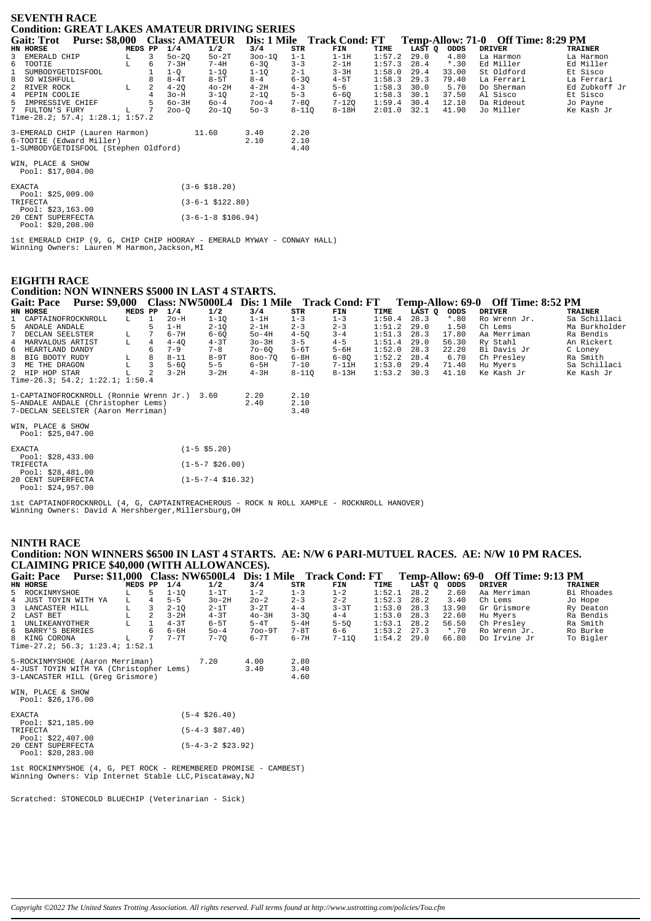| <b>SEVENTH RACE</b><br><b>Condition: GREAT LAKES AMATEUR DRIVING SERIES</b> |         |   |           |                               |            |           |                            |        |        |         |  |                                    |                |               |
|-----------------------------------------------------------------------------|---------|---|-----------|-------------------------------|------------|-----------|----------------------------|--------|--------|---------|--|------------------------------------|----------------|---------------|
|                                                                             |         |   |           |                               |            |           |                            |        |        |         |  |                                    |                |               |
| <b>Purse: \$8,000 Class: AMATEUR</b><br><b>Gait: Trot</b>                   |         |   |           |                               |            |           | Dis: 1 Mile Track Cond: FT |        |        |         |  | Temp-Allow: 71-0 Off Time: 8:29 PM |                |               |
| HN HORSE                                                                    | MEDS PP |   | 1/4       | 1/2                           | 3/4        | STR       | FIN                        | TIME   | LAST O | ODDS    |  | <b>DRIVER</b>                      | <b>TRAINER</b> |               |
| 3<br>EMERALD CHIP                                                           | L       | 3 | $50 - 20$ | $50-2T$                       | $300 - 10$ | $1 - 1$   | $1-1H$                     | 1:57.2 | 29.0   | 4.80    |  | La Harmon                          |                | La Harmon     |
| 6 TOOTIE                                                                    | T.      | 6 | $7 - 3H$  | $7 - 4H$                      | $6 - 3Q$   | $3 - 3$   | $2-1H$                     | 1:57.3 | 28.4   | $*$ .30 |  | Ed Miller                          |                | Ed Miller     |
| $\mathbf{1}$<br>SUMBODYGETDISFOOL                                           |         |   | $1-Q$     | $1 - 1Q$                      | $1 - 1Q$   | $2 - 1$   | $3 - 3H$                   | 1:58.0 | 29.4   | 33.00   |  | St Oldford                         |                | Et Sisco      |
| 8<br>SO WISHFULL                                                            |         |   | $8 - 4T$  | $8 - 5T$                      | $8 - 4$    | $6 - 30$  | $4-5T$                     | 1:58.3 | 29.3   | 79.40   |  | La Ferrari                         |                | La Ferrari    |
| $\overline{2}$<br>RIVER ROCK                                                | L       |   | $4 - 2Q$  | $40-2H$                       | $4-2H$     | $4 - 3$   | $5 - 6$                    | 1:58.3 | 30.0   | 5.70    |  | Do Sherman                         |                | Ed Zubkoff Jr |
| 4<br>PEPIN COOLIE                                                           |         |   | $3o-H$    | $3 - 1Q$                      | $2 - 1Q$   | $5 - 3$   | $6 - 6Q$                   | 1:58.3 | 30.1   | 37.50   |  | Al Sisco                           |                | Et Sisco      |
| 5<br>IMPRESSIVE CHIEF                                                       |         |   | $60 - 3H$ | $60 - 4$                      | $700 - 4$  | $7 - 80$  | $7 - 120$                  | 1:59.4 | 30.4   | 12.10   |  | Da Rideout                         |                | Jo Payne      |
| $7^{\circ}$<br>FULTON'S FURY                                                | L       |   | $200 - 0$ | $20 - 10$                     | $50 - 3$   | $8 - 110$ | $8 - 18H$                  | 2:01.0 | 32.1   | 41.90   |  | Jo Miller                          |                | Ke Kash Jr    |
| Time-28.2; 57.4; 1:28.1; 1:57.2                                             |         |   |           |                               |            |           |                            |        |        |         |  |                                    |                |               |
| 3-EMERALD CHIP (Lauren Harmon)                                              |         |   |           | 11.60                         | 3.40       | 2.20      |                            |        |        |         |  |                                    |                |               |
| 6-TOOTIE (Edward Miller)                                                    |         |   |           |                               | 2.10       | 2.10      |                            |        |        |         |  |                                    |                |               |
| 1-SUMBODYGETDISFOOL (Stephen Oldford)                                       |         |   |           |                               |            | 4.40      |                            |        |        |         |  |                                    |                |               |
| WIN, PLACE & SHOW<br>Pool: \$17,004.00                                      |         |   |           |                               |            |           |                            |        |        |         |  |                                    |                |               |
| <b>EXACTA</b><br>Pool: $$25,009.00$                                         |         |   |           | $(3-6 \; $18.20)$             |            |           |                            |        |        |         |  |                                    |                |               |
| TRIFECTA<br>Pool: $$23,163.00$                                              |         |   |           | $(3-6-1$ \$122.80)            |            |           |                            |        |        |         |  |                                    |                |               |
| 20 CENT SUPERFECTA<br>Pool: $$20, 208.00$                                   |         |   |           | $(3-6-1-8 \; \text{$106.94})$ |            |           |                            |        |        |         |  |                                    |                |               |

1st EMERALD CHIP (9, G, CHIP CHIP HOORAY - EMERALD MYWAY - CONWAY HALL) Winning Owners: Lauren M Harmon,Jackson,MI

## **EIGHTH RACE**

## **Condition: NON WINNERS \$5000 IN LAST 4 STARTS.**

| <b>Gait: Pace</b>    | <b>Purse: \$9,000</b>                        |         |    |          |          |            |           | Class: NW5000L4 Dis: 1 Mile Track Cond: FT |        |               |         | Temp-Allow: 69-0 Off Time: 8:52 PM |               |
|----------------------|----------------------------------------------|---------|----|----------|----------|------------|-----------|--------------------------------------------|--------|---------------|---------|------------------------------------|---------------|
|                      |                                              |         |    |          |          |            |           |                                            |        |               |         |                                    |               |
| HN HORSE             |                                              | MEDS PP |    | 1/4      | 1/2      | 3/4        | STR       | FIN                                        | TIME   | LAST O        | ODDS    | DRIVER                             | TRAINER       |
| 1 CAPTAINOFROCKNROLL |                                              | L.      |    | $2o-H$   | $1 - 10$ | $1-1H$     | $1 - 3$   | $1 - 3$                                    | 1:50.4 | 28.3          | $*$ .80 | Ro Wrenn Jr.                       | Sa Schillaci  |
| 5 ANDALE ANDALE      |                                              |         |    | 1-н      | $2 - 10$ | $2-1H$     | $2 - 3$   | $2 - 3$                                    | 1:51.2 | 29.0          | 1.50    | Ch Lems                            | Ma Burkholder |
| 7 DECLAN SEELSTER    |                                              | L.      |    | $6 - 7H$ | $6 - 60$ | $50-4H$    | $4 - 50$  | $3 - 4$                                    | 1:51.3 | 28.3          | 17.80   | Aa Merriman                        | Ra Bendis     |
| 4 MARVALOUS ARTIST   |                                              | L       | 4  | $4 - 40$ | $4-3T$   | $30-3H$    | $3 - 5$   | $4 - 5$                                    | 1:51.4 | 29.0          | 56.30   | Ry Stahl                           | An Rickert    |
| 6 HEARTLAND DANDY    |                                              |         | б. | $7 - 9$  | $7 - 8$  | $70 - 60$  | $5 - 6T$  | $5-6H$                                     | 1:52.0 | 28.3          | 22.20   | Bi Davis Jr                        | C Loney       |
| 8 BIG BOOTY RUDY     |                                              | L       | 8  | $8 - 11$ | $8-9T$   | $800 - 70$ | $6 - 8H$  | $6 - 80$                                   | 1:52.2 | 28.4          | 6.70    | Ch Preslev                         | Ra Smith      |
| 3 ME THE DRAGON      |                                              | L.      |    | $5 - 60$ | $5 - 5$  | 6-5H       | $7 - 10$  | 7-11H                                      |        | $1:53.0$ 29.4 | 71.40   | Hu Myers                           | Sa Schillaci  |
| 2 HIP HOP STAR       |                                              |         | 2  | $3 - 2H$ | $3 - 2H$ | $4 - 3H$   | $8 - 110$ | $8 - 13H$                                  | 1:53.2 | 30.3          | 41.10   | Ke Kash Jr                         | Ke Kash Jr    |
|                      | Time-26.3; 54.2; $1:22.1$ ; $1:50.4$         |         |    |          |          |            |           |                                            |        |               |         |                                    |               |
|                      |                                              |         |    |          |          |            |           |                                            |        |               |         |                                    |               |
|                      | 1-CAPTAINOFROCKNROLL (Ronnie Wrenn Jr.) 3.60 |         |    |          |          | 2.20       | 2.10      |                                            |        |               |         |                                    |               |
|                      | 5-ANDALE ANDALE (Christopher Lems)           |         |    |          |          | 2.40       | 2.10      |                                            |        |               |         |                                    |               |
|                      | 7-DECLAN SEELSTER (Aaron Merriman)           |         |    |          |          |            | 3.40      |                                            |        |               |         |                                    |               |

WIN, PLACE & SHOW Pool: \$25,047.00

| <b>EXACTA</b> |                    | $(1 - 5 \text{ } 55.20)$          |  |
|---------------|--------------------|-----------------------------------|--|
|               | Pool: $$28,433.00$ |                                   |  |
| TRIFECTA      |                    | $(1 - 5 - 7 \ $26.00)$            |  |
|               | Pool: $$28,481.00$ |                                   |  |
|               | 20 CENT SUPERFECTA | $(1 - 5 - 7 - 4 \text{ } $16.32)$ |  |
|               | Pool: \$24,957.00  |                                   |  |

1st CAPTAINOFROCKNROLL (4, G, CAPTAINTREACHEROUS - ROCK N ROLL XAMPLE - ROCKNROLL HANOVER) Winning Owners: David A Hershberger,Millersburg,OH

## **NINTH RACE Condition: NON WINNERS \$6500 IN LAST 4 STARTS. AE: N/W 6 PARI-MUTUEL RACES. AE: N/W 10 PM RACES. CLAIMING PRICE \$40,000 (WITH ALLOWANCES).**

| Purse: \$11,000 Class: NW6500L4<br><b>Gait: Pace</b> |               |   |           |                     |            |          | Dis: 1 Mile Track Cond: FT |        |        |         | Temp-Allow: 69-0 Off Time: 9:13 PM |                |
|------------------------------------------------------|---------------|---|-----------|---------------------|------------|----------|----------------------------|--------|--------|---------|------------------------------------|----------------|
| HN HORSE                                             | MEDS PP $1/4$ |   |           | 1/2                 | 3/4        | STR      | FIN                        | TIME   | LAST Q | ODDS    | DRIVER                             | <b>TRAINER</b> |
| 5 ROCKINMYSHOE                                       |               | 5 | $1 - 10$  | $1-1T$              | $1 - 2$    | $1 - 3$  | $1 - 2$                    | 1:52.1 | 28.2   | 2.60    | Aa Merriman                        | Bi Rhoades     |
| 4 JUST TOYIN WITH YA                                 | L             | 4 | $5 - 5$   | $3o-2H$             | $20 - 2$   | $2 - 3$  | $2 - 2$                    | 1:52.3 | 28.2   | 3.40    | Ch Lems                            | Jo Hope        |
| 3 LANCASTER HILL                                     | L             | 3 | $2 - 1Q$  | $2-1T$              | $3-2T$     | $4 - 4$  | $3 - 3T$                   | 1:53.0 | 28.3   | 13.90   | Gr Grismore                        | Ry Deaton      |
| 2 LAST BET                                           | L             | 2 | $3-2H$    | $4-3T$              | $40-3H$    | $3 - 3Q$ | $4 - 4$                    | 1:53.0 | 28.3   | 22.60   | Hu Myers                           | Ra Bendis      |
| $\mathbf{1}$<br>UNLIKEANYOTHER                       | L             |   | $4 - 3T$  | $6-5T$              | $5-4T$     | $5-4H$   | $5 - 50$                   | 1:53.1 | 28.2   | 56.50   | Ch Presley                         | Ra Smith       |
| 6 BARRY'S BERRIES                                    |               | 6 | 6-6H      | $50 - 4$            | $700 - 9T$ | $7-8T$   | 6-6                        | 1:53.2 | 27.3   | $*$ .70 | Ro Wrenn Jr.                       | Ro Burke       |
| 8 KING CORONA                                        | L             |   | $7 - 7$ T | $7 - 70$            | $6 - 7T$   | $6 - 7H$ | $7 - 110$                  | 1:54.2 | 29.0   | 66.80   | Do Irvine Jr                       | To Bigler      |
| Time-27.2; $56.3; 1:23.4; 1:52.1$                    |               |   |           |                     |            |          |                            |        |        |         |                                    |                |
| 5-ROCKINMYSHOE (Aaron Merriman)                      |               |   |           | 7.20                | 4.00       | 2.80     |                            |        |        |         |                                    |                |
| 4-JUST TOYIN WITH YA (Christopher Lems)              |               |   |           |                     | 3.40       | 3.40     |                            |        |        |         |                                    |                |
| 3-LANCASTER HILL (Greq Grismore)                     |               |   |           |                     |            | 4.60     |                            |        |        |         |                                    |                |
|                                                      |               |   |           |                     |            |          |                            |        |        |         |                                    |                |
| WIN, PLACE & SHOW<br>Pool: $$26,176.00$              |               |   |           |                     |            |          |                            |        |        |         |                                    |                |
|                                                      |               |   |           |                     |            |          |                            |        |        |         |                                    |                |
| <b>EXACTA</b>                                        |               |   |           | $(5-4 \ $26.40)$    |            |          |                            |        |        |         |                                    |                |
| Pool: $$21,185.00$                                   |               |   |           |                     |            |          |                            |        |        |         |                                    |                |
| TRIFECTA                                             |               |   |           | $(5-4-3$ \$87.40)   |            |          |                            |        |        |         |                                    |                |
| Pool: $$22,407.00$                                   |               |   |           |                     |            |          |                            |        |        |         |                                    |                |
| 20 CENT SUPERFECTA                                   |               |   |           | $(5-4-3-2$ \$23.92) |            |          |                            |        |        |         |                                    |                |
| Pool: $$20,283.00$                                   |               |   |           |                     |            |          |                            |        |        |         |                                    |                |
|                                                      |               |   |           |                     |            |          |                            |        |        |         |                                    |                |

1st ROCKINMYSHOE (4, G, PET ROCK - REMEMBERED PROMISE - CAMBEST) Winning Owners: Vip Internet Stable LLC,Piscataway,NJ

Scratched: STONECOLD BLUECHIP (Veterinarian - Sick)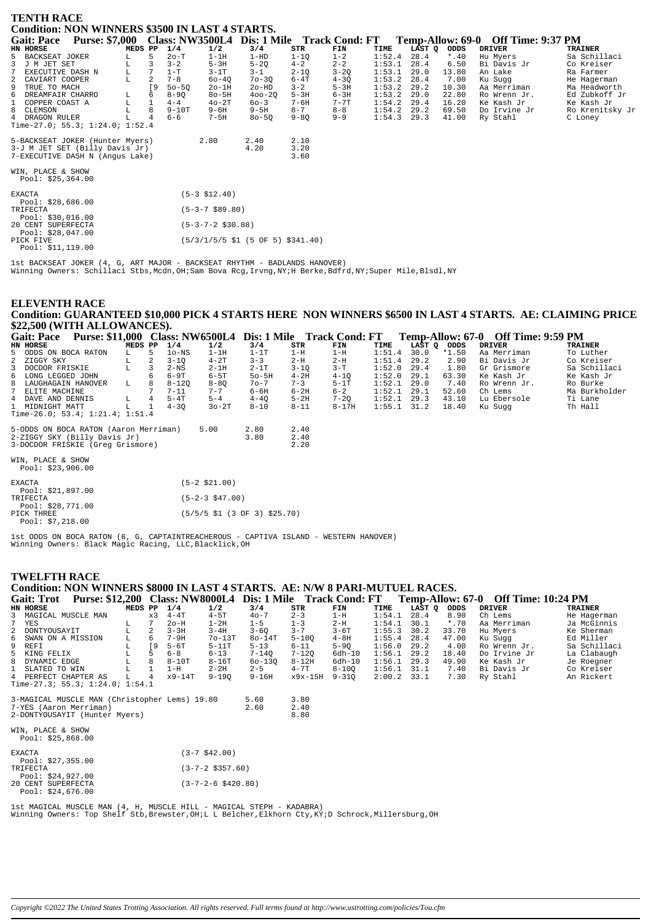| <b>TENTH RACE</b><br><b>Condition: NON WINNERS \$3500 IN LAST 4 STARTS.</b>    |         |              |           |                     |                                                                                |          |          |        |        |         |                                    |                 |
|--------------------------------------------------------------------------------|---------|--------------|-----------|---------------------|--------------------------------------------------------------------------------|----------|----------|--------|--------|---------|------------------------------------|-----------------|
| Purse: \$7,000 Class: NW3500L4 Dis: 1 Mile Track Cond: FT<br><b>Gait: Pace</b> |         |              |           |                     |                                                                                |          |          |        |        |         | Temp-Allow: 69-0 Off Time: 9:37 PM |                 |
| HN HORSE                                                                       | MEDS PP |              | 1/4       | 1/2                 | 3/4                                                                            | STR      | FIN      | TIME   | LAST Q | ODDS    | <b>DRIVER</b>                      | <b>TRAINER</b>  |
| 5<br>BACKSEAT JOKER                                                            | L       | 5            | $2o-T$    | $1-1H$              | $1-HD$                                                                         | $1 - 1Q$ | $1 - 2$  | 1:52.4 | 28.4   | $*$ .40 | Hu Myers                           | Sa Schillaci    |
| J M JET SET<br>3                                                               | L       | 3            | $3 - 2$   | $5-3H$              | $5-2Q$                                                                         | $4 - 2$  | $2 - 2$  | 1:53.1 | 28.4   | 6.50    | Bi Davis Jr                        | Co Kreiser      |
| EXECUTIVE DASH N                                                               | L       |              | $1-T$     | $3-1T$              | $3 - 1$                                                                        | $2 - 1Q$ | $3 - 20$ | 1:53.1 | 29.0   | 13.80   | An Lake                            | Ra Farmer       |
| CAVIART COOPER<br>2                                                            | L       |              | $7 - 8$   | $60 - 40$           | $70 - 30$                                                                      | $6 - 4T$ | $4 - 3Q$ | 1:53.2 | 28.4   | 7.00    | Ku Suqq                            | He Hagerman     |
| TRUE TO MACH<br>9                                                              |         | ſ9           | $50 - 50$ | $2o-1H$             | $2o-HD$                                                                        | $3 - 2$  | $5-3H$   | 1:53.2 | 29.2   | 10.30   | Aa Merriman                        | Ma Headworth    |
| 6<br>DREAMFAIR CHARRO                                                          | L       | 6            | $8 - 90$  | $80 - 5H$           | $400 - 20$                                                                     | $5-3H$   | $6 - 3H$ | 1:53.2 | 29.0   | 22.80   | Ro Wrenn Jr.                       | Ed Zubkoff Jr   |
| COPPER COAST A<br>$\mathbf{1}$                                                 | г       | $\mathbf{1}$ | $4 - 4$   | $40-2T$             | $60 - 3$                                                                       | 7-6H     | $7 - 7T$ | 1:54.2 | 29.4   | 16.20   | Ke Kash Jr                         | Ke Kash Jr      |
| 8 CLEMSON                                                                      |         | 8            | $9-10T$   | $9 - 6H$            | $9-5H$                                                                         | $8 - 7$  | $8 - 8$  | 1:54.2 | 29.2   | 69.50   | Do Irvine Jr                       | Ro Krenitsky Jr |
| 4 DRAGON RULER                                                                 |         |              | $6 - 6$   | $7-5H$              | $80 - 50$                                                                      | $9 - 80$ | $9 - 9$  | 1:54.3 | 29.3   | 41.00   | Ry Stahl                           | C Loney         |
| Time-27.0; 55.3; 1:24.0; 1:52.4                                                |         |              |           |                     |                                                                                |          |          |        |        |         |                                    |                 |
| 5-BACKSEAT JOKER (Hunter Myers)                                                |         |              |           | 2.80                | 2.40                                                                           | 2.10     |          |        |        |         |                                    |                 |
| 3-J M JET SET (Billy Davis Jr)                                                 |         |              |           |                     | 4.20                                                                           | 3.20     |          |        |        |         |                                    |                 |
| 7-EXECUTIVE DASH N (Angus Lake)                                                |         |              |           |                     |                                                                                | 3.60     |          |        |        |         |                                    |                 |
| WIN, PLACE & SHOW                                                              |         |              |           |                     |                                                                                |          |          |        |        |         |                                    |                 |
| Pool: $$25,364.00$                                                             |         |              |           |                     |                                                                                |          |          |        |        |         |                                    |                 |
| <b>EXACTA</b><br>Pool: $$28,686.00$                                            |         |              |           | $(5-3 \; $12.40)$   |                                                                                |          |          |        |        |         |                                    |                 |
| TRIFECTA<br>Pool: $$30,016.00$                                                 |         |              |           | $(5-3-7$ \$89.80)   |                                                                                |          |          |        |        |         |                                    |                 |
| 20 CENT SUPERFECTA<br>Pool: \$28,047.00                                        |         |              |           | $(5-3-7-2$ \$30.88) |                                                                                |          |          |        |        |         |                                    |                 |
| PICK FIVE<br>$D_0 \cap 1$ : $\langle 11 \ 110 \ 00 \rangle$                    |         |              |           |                     | $(5/3/1/5/5 \text{ } 51 \text{ } (5 \text{ } 0F \text{ } 5) \text{ } $341.40)$ |          |          |        |        |         |                                    |                 |

1st BACKSEAT JOKER (4, G, ART MAJOR - BACKSEAT RHYTHM - BADLANDS HANOVER)<br>Winning Owners: Schillaci Stbs, Mcdn, OH; Sam Bova Rcg, Irvng, NY; H Berke, Bdfrd, NY; Super Mile, Blsdl, NY

## **ELEVENTH RACE** Condition: GUARANTEED \$10,000 PICK 4 STARTS HERE NON WINNERS \$6500 IN LAST 4 STARTS. AE: CLAIMING PRICE \$22,500 (WITH ALLOWANCES).

| Gait: Pace Purse: \$11,000 Class: NW6500L4 Dis: 1 Mile Track Cond: FT Temp-Allow: 67-0 Off Time: 9:59 PM  |         |                          |                                                                           |              |                      |          |               |        |         |              |                |
|-----------------------------------------------------------------------------------------------------------|---------|--------------------------|---------------------------------------------------------------------------|--------------|----------------------|----------|---------------|--------|---------|--------------|----------------|
| HN HORSE                                                                                                  | MEDS PP | 1/4                      | 1/2                                                                       | 3/4          | STR                  | FIN      | TIME          | LAST Q | ODDS    | DRIVER       | <b>TRAINER</b> |
| 5 ODDS ON BOCA RATON                                                                                      | L       | $1o$ – $NS$<br>5         | $1-1H$                                                                    | $1-1T$       | $1-H$                | $1-H$    | 1:51.4        | 30.0   | $*1.50$ | Aa Merriman  | To Luther      |
| 2 ZIGGY SKY                                                                                               | L       | $3 - 10$<br>2            | $4-2T$                                                                    | $3 - 3$      | $2-H$                | $2-H$    | 1:51.4        | 29.2   | 2.90    | Bi Davis Jr  | Co Kreiser     |
| 3 DOCDOR FRISKIE                                                                                          |         | 2-NS                     | $2-1H$                                                                    | $2-1T$       | $3 - 1Q$             | $3-T$    | 1:52.0        | 29.4   | 1.80    | Gr Grismore  | Sa Schillaci   |
| 6 LONG LEGGED JOHN                                                                                        |         | 6-9T                     | $6-5T$                                                                    | $50 - 5H$    | $4-2H$               | $4 - 10$ | 1:52.0        | 29.1   | 63.30   | Ke Kash Jr   | Ke Kash Jr     |
| 8 LAUGHAGAIN HANOVER                                                                                      | L       | $8 - 120$                | $8 - 8Q$                                                                  | $70 - 7$     | $7 - 3$              | $5-1T$   | 1:52.1        | 29.0   | 7.40    | Ro Wrenn Jr. | Ro Burke       |
| 7 ELITE MACHINE                                                                                           |         | $7 - 11$                 | $7 - 7$                                                                   | $6 - 6H$     | $6-2H$               | $6 - 2$  | 1:52.1        | 29.1   | 52.60   | Ch Lems      | Ma Burkholder  |
| 4 DAVE AND DENNIS                                                                                         | L.      | $5-4T$<br>$\overline{4}$ | $5 - 4$                                                                   | $4-4Q$       | $5-2H$               | $7 - 2Q$ | 1:52.1        | 29.3   | 43.10   | Lu Ebersole  | Ti Lane        |
| 1 MIDNIGHT MATT                                                                                           |         | $4 - 30$                 | $30-2T$                                                                   | $8 - 10$     | $8 - 11$             | $8-17H$  | $1:55.1$ 31.2 |        | 18.40   | Ku Suqq      | Th Hall        |
| Time-26.0; 53.4; 1:21.4; 1:51.4                                                                           |         |                          |                                                                           |              |                      |          |               |        |         |              |                |
| 5-ODDS ON BOCA RATON (Aaron Merriman)<br>2-ZIGGY SKY (Billy Davis Jr)<br>3-DOCDOR FRISKIE (Greq Grismore) |         |                          | 5.00                                                                      | 2.80<br>3.80 | 2.40<br>2.40<br>2.20 |          |               |        |         |              |                |
| WIN, PLACE & SHOW<br>Pool: \$23,906.00                                                                    |         |                          |                                                                           |              |                      |          |               |        |         |              |                |
| <b>EXACTA</b><br>Pool: \$21,897.00                                                                        |         |                          | $(5-2 \; $21.00)$                                                         |              |                      |          |               |        |         |              |                |
| TRIFECTA<br>Pool: \$28,771.00                                                                             |         |                          | $(5-2-3$ \$47.00)                                                         |              |                      |          |               |        |         |              |                |
| PICK THREE<br>Pool: \$7.218.00                                                                            |         |                          | $(5/5/5 \text{ } $1 \text{ } (3 \text{ } 0F \text{ } 3) \text{ } $25.70)$ |              |                      |          |               |        |         |              |                |

1st ODDS ON BOCA RATON (6, G, CAPTAINTREACHEROUS - CAPTIVA ISLAND - WESTERN HANOVER)<br>Winning Owners: Black Magic Racing, LLC,Blacklick,OH

## **TWELFTH RACE**

## Condition: NON WINNERS \$8000 IN LAST 4 STARTS. AE: N/W 8 PARI-MUTUEL RACES.

| <b>Purse: \$12,200</b><br><b>Gait: Trot</b>   |         |            | <b>Class: NW8000L4</b> |                             | Dis: 1 Mile Track Cond: FT |           |           |        |        |         |               | Temp-Allow: 67-0 Off Time: 10:24 PM |              |
|-----------------------------------------------|---------|------------|------------------------|-----------------------------|----------------------------|-----------|-----------|--------|--------|---------|---------------|-------------------------------------|--------------|
| HN HORSE                                      | MEDS PP |            | 1/4                    | 1/2                         | 3/4                        | STR       | FIN       | TIME   | LAST Q | ODDS    | <b>DRIVER</b> |                                     | TRAINER      |
| 3 MAGICAL MUSCLE MAN                          |         | x3         | $4 - 4T$               | $4-5T$                      | $40 - 7$                   | $2 - 3$   | $1-H$     | 1:54.1 | 28.4   | 8.90    | Ch Lems       |                                     | He Hagerman  |
| $7\overline{ }$<br>YES                        | L.      | 7          | $2o-H$                 | $1-2H$                      | $1 - 5$                    | $1 - 3$   | $2-H$     | 1:54.1 | 30.1   | $*$ .70 |               | Aa Merriman                         | Ja McGinnis  |
| 2 DONTYOUSAYIT                                |         |            | $3 - 3H$               | $3 - 4H$                    | $3 - 6Q$                   | $3 - 7$   | $3-6T$    | 1:55.3 | 30.2   | 33.70   |               | Hu Myers                            | Ke Sherman   |
| 6<br>SWAN ON A MISSION                        | L.      | 6          | $7-9H$                 | $70-13T$                    | $80-14T$                   | $5 - 100$ | $4-8H$    | 1:55.4 | 28.4   | 47.00   | Ku Sugg       |                                     | Ed Miller    |
| 9 REFI                                        | г       | $\sqrt{9}$ | $5-6T$                 | $5-11T$                     | $5 - 13$                   | $6 - 11$  | $5 - 90$  | 1:56.0 | 29.2   | 4.00    |               | Ro Wrenn Jr.                        | Sa Schillaci |
| 5<br>KING FELIX                               |         | 5          | $6 - 8$                | $6 - 13$                    | $7 - 140$                  | $7 - 120$ | $6dh-10$  | 1:56.1 | 29.2   | 18.40   |               | Do Irvine Jr                        | La Clabaugh  |
| 8<br>DYNAMIC EDGE                             | L       |            | $8-10T$                | $8-16T$                     | $60 - 130$                 | $8-12H$   | $6dh-10$  | 1:56.1 | 29.3   | 49.90   |               | Ke Kash Jr                          | Je Roegner   |
| $\mathbf{1}$<br>SLATED TO WIN                 | L       |            | $1-H$                  | $2-2H$                      | $2 - 5$                    | $4 - 7T$  | $8 - 100$ | 1:56.1 | 31.1   | 7.40    |               | Bi Davis Jr                         | Co Kreiser   |
| 4 PERFECT CHAPTER AS                          | L       |            | x9-14T                 | $9 - 190$                   | $9 - 16H$                  | x9x-15H   | 9-310     | 2:00.2 | 33.1   | 7.30    |               | Ry Stahl                            | An Rickert   |
| Time-27.3; 55.3; $1:24.0; 1:54.1$             |         |            |                        |                             |                            |           |           |        |        |         |               |                                     |              |
| 3-MAGICAL MUSCLE MAN (Christopher Lems) 19.80 |         |            |                        |                             | 5.60                       | 3.80      |           |        |        |         |               |                                     |              |
| 7-YES (Aaron Merriman)                        |         |            |                        |                             | 2.60                       | 2.40      |           |        |        |         |               |                                     |              |
| 2-DONTYOUSAYIT (Hunter Myers)                 |         |            |                        |                             |                            | 8.80      |           |        |        |         |               |                                     |              |
| WIN, PLACE & SHOW                             |         |            |                        |                             |                            |           |           |        |        |         |               |                                     |              |
| Pool: $$25,868.00$                            |         |            |                        |                             |                            |           |           |        |        |         |               |                                     |              |
| <b>EXACTA</b>                                 |         |            |                        | $(3-7, $42.00)$             |                            |           |           |        |        |         |               |                                     |              |
| Pool: $$27,355.00$                            |         |            |                        |                             |                            |           |           |        |        |         |               |                                     |              |
| TRIFECTA                                      |         |            |                        | $(3 - 7 - 2 \ $357.60)$     |                            |           |           |        |        |         |               |                                     |              |
| Pool: $$24,927.00$                            |         |            |                        |                             |                            |           |           |        |        |         |               |                                     |              |
| 20 CENT SUPERFECTA                            |         |            |                        | $(3 - 7 - 2 - 6 \ $420.80)$ |                            |           |           |        |        |         |               |                                     |              |
| Pool: \$24,676.00                             |         |            |                        |                             |                            |           |           |        |        |         |               |                                     |              |

lst MAGICAL MUSCLE MAN (4, H, MUSCLE HILL - MAGICAL STEPH - KADABRA)<br>Winning Owners: Top Shelf Stb,Brewster,OH;L L Belcher,Elkhorn Cty,KY;D Schrock,Millersburg,OH